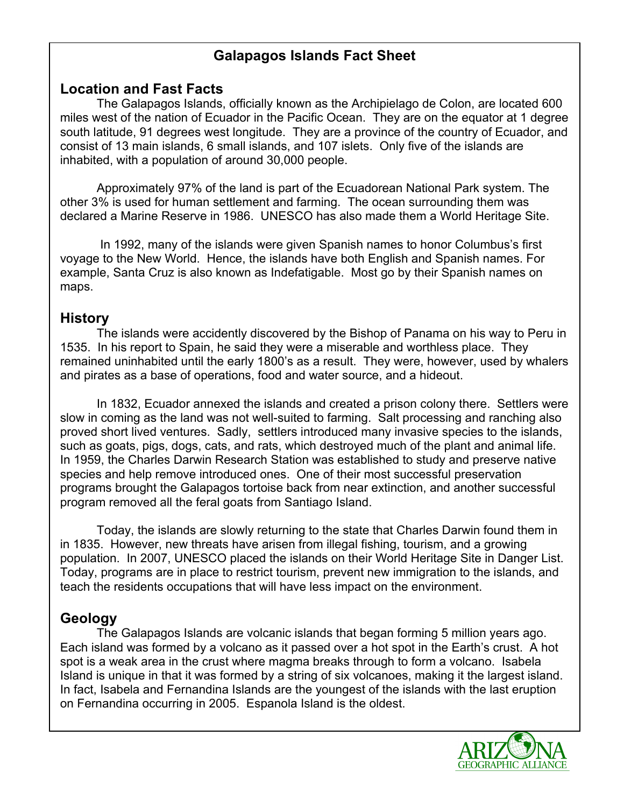# **Galapagos Islands Fact Sheet**

## **Location and Fast Facts**

 The Galapagos Islands, officially known as the Archipielago de Colon, are located 600 miles west of the nation of Ecuador in the Pacific Ocean. They are on the equator at 1 degree south latitude, 91 degrees west longitude. They are a province of the country of Ecuador, and consist of 13 main islands, 6 small islands, and 107 islets. Only five of the islands are inhabited, with a population of around 30,000 people.

Approximately 97% of the land is part of the Ecuadorean National Park system. The other 3% is used for human settlement and farming. The ocean surrounding them was declared a Marine Reserve in 1986. UNESCO has also made them a World Heritage Site.

In 1992, many of the islands were given Spanish names to honor Columbus's first voyage to the New World. Hence, the islands have both English and Spanish names. For example, Santa Cruz is also known as Indefatigable. Most go by their Spanish names on maps.

## **History**

The islands were accidently discovered by the Bishop of Panama on his way to Peru in 1535. In his report to Spain, he said they were a miserable and worthless place. They remained uninhabited until the early 1800's as a result. They were, however, used by whalers and pirates as a base of operations, food and water source, and a hideout.

In 1832, Ecuador annexed the islands and created a prison colony there. Settlers were slow in coming as the land was not well-suited to farming. Salt processing and ranching also proved short lived ventures. Sadly, settlers introduced many invasive species to the islands, such as goats, pigs, dogs, cats, and rats, which destroyed much of the plant and animal life. In 1959, the Charles Darwin Research Station was established to study and preserve native species and help remove introduced ones. One of their most successful preservation programs brought the Galapagos tortoise back from near extinction, and another successful program removed all the feral goats from Santiago Island.

 Today, the islands are slowly returning to the state that Charles Darwin found them in in 1835. However, new threats have arisen from illegal fishing, tourism, and a growing population. In 2007, UNESCO placed the islands on their World Heritage Site in Danger List. Today, programs are in place to restrict tourism, prevent new immigration to the islands, and teach the residents occupations that will have less impact on the environment.

# **Geology**

The Galapagos Islands are volcanic islands that began forming 5 million years ago. Each island was formed by a volcano as it passed over a hot spot in the Earth's crust. A hot spot is a weak area in the crust where magma breaks through to form a volcano. Isabela Island is unique in that it was formed by a string of six volcanoes, making it the largest island. In fact, Isabela and Fernandina Islands are the youngest of the islands with the last eruption on Fernandina occurring in 2005. Espanola Island is the oldest.

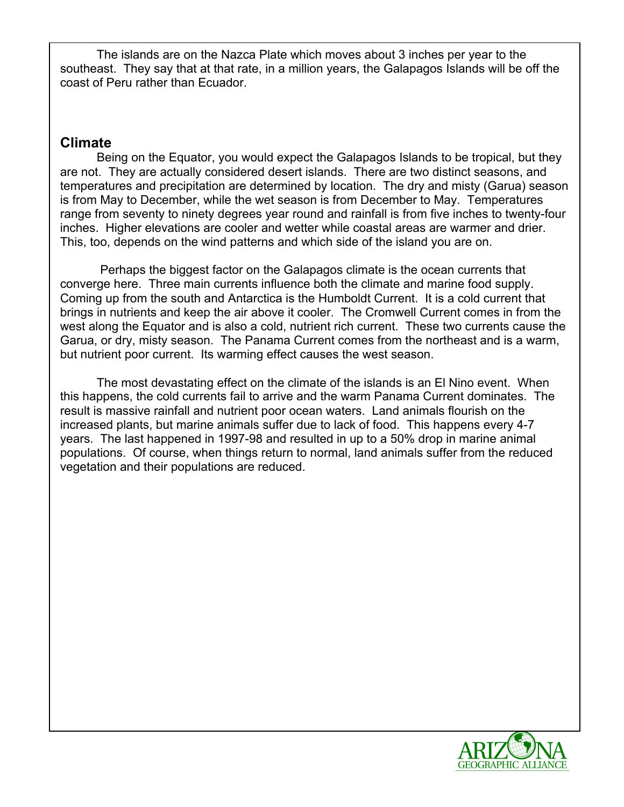The islands are on the Nazca Plate which moves about 3 inches per year to the southeast. They say that at that rate, in a million years, the Galapagos Islands will be off the coast of Peru rather than Ecuador.

## **Climate**

 Being on the Equator, you would expect the Galapagos Islands to be tropical, but they are not. They are actually considered desert islands. There are two distinct seasons, and temperatures and precipitation are determined by location. The dry and misty (Garua) season is from May to December, while the wet season is from December to May. Temperatures range from seventy to ninety degrees year round and rainfall is from five inches to twenty-four inches. Higher elevations are cooler and wetter while coastal areas are warmer and drier. This, too, depends on the wind patterns and which side of the island you are on.

Perhaps the biggest factor on the Galapagos climate is the ocean currents that converge here. Three main currents influence both the climate and marine food supply. Coming up from the south and Antarctica is the Humboldt Current. It is a cold current that brings in nutrients and keep the air above it cooler. The Cromwell Current comes in from the west along the Equator and is also a cold, nutrient rich current. These two currents cause the Garua, or dry, misty season. The Panama Current comes from the northeast and is a warm, but nutrient poor current. Its warming effect causes the west season.

The most devastating effect on the climate of the islands is an El Nino event. When this happens, the cold currents fail to arrive and the warm Panama Current dominates. The result is massive rainfall and nutrient poor ocean waters. Land animals flourish on the increased plants, but marine animals suffer due to lack of food. This happens every 4-7 years. The last happened in 1997-98 and resulted in up to a 50% drop in marine animal populations. Of course, when things return to normal, land animals suffer from the reduced vegetation and their populations are reduced.

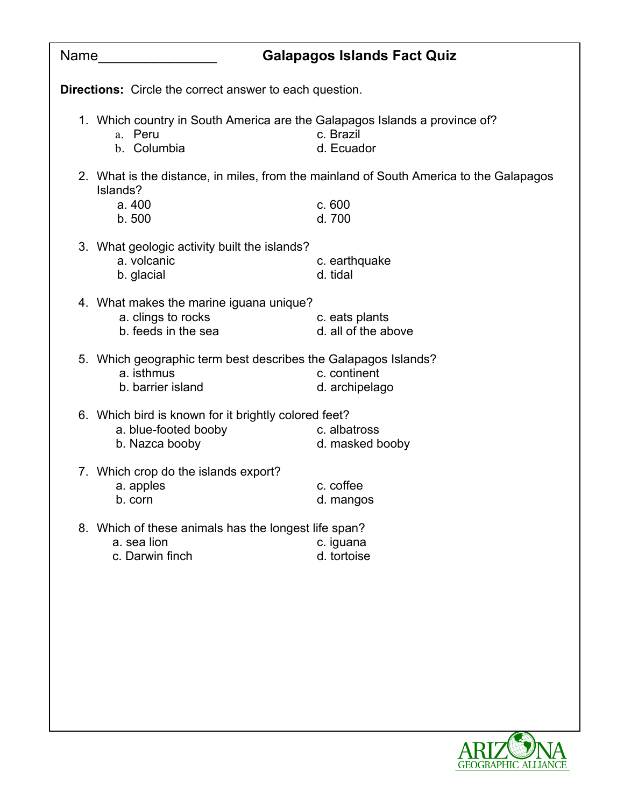| Name |                                                                                                      | <b>Galapagos Islands Fact Quiz</b>                                                     |
|------|------------------------------------------------------------------------------------------------------|----------------------------------------------------------------------------------------|
|      | <b>Directions:</b> Circle the correct answer to each question.                                       |                                                                                        |
|      | 1. Which country in South America are the Galapagos Islands a province of?<br>a. Peru<br>b. Columbia | c. Brazil<br>d. Ecuador                                                                |
|      | Islands?                                                                                             | 2. What is the distance, in miles, from the mainland of South America to the Galapagos |
|      | a. 400<br>b.500                                                                                      | c.600<br>d. 700                                                                        |
|      | 3. What geologic activity built the islands?<br>a. volcanic<br>b. glacial                            | c. earthquake<br>d. tidal                                                              |
|      | 4. What makes the marine iguana unique?<br>a. clings to rocks<br>b. feeds in the sea                 | c. eats plants<br>d. all of the above                                                  |
|      | 5. Which geographic term best describes the Galapagos Islands?<br>a. isthmus<br>b. barrier island    | c. continent<br>d. archipelago                                                         |
|      | 6. Which bird is known for it brightly colored feet?<br>a. blue-footed booby<br>b. Nazca booby       | c. albatross<br>d. masked booby                                                        |
|      | 7. Which crop do the islands export?<br>a. apples<br>b. corn                                         | c. coffee<br>d. mangos                                                                 |
|      | 8. Which of these animals has the longest life span?<br>a. sea lion<br>c. Darwin finch               | c. iguana<br>d. tortoise                                                               |
|      |                                                                                                      |                                                                                        |
|      |                                                                                                      |                                                                                        |
|      |                                                                                                      |                                                                                        |
|      |                                                                                                      |                                                                                        |

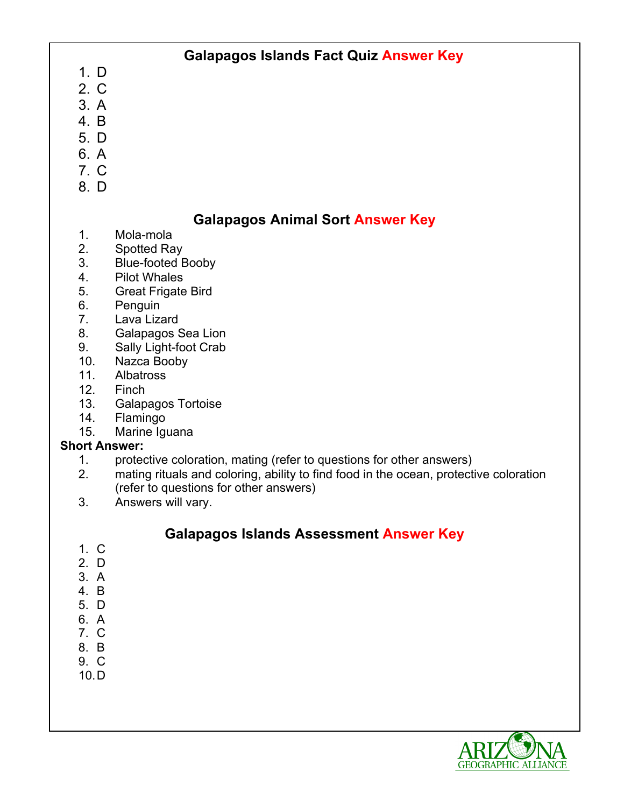# **Galapagos Islands Fact Quiz Answer Key**

- 1. D 2. C
- 3. A
- 4. B
- 
- 5. D
- 6. A
- 7. C
- 8. D

# **Galapagos Animal Sort Answer Key**

- 1. Mola-mola
- 2. Spotted Ray
- 3. Blue-footed Booby
- 4. Pilot Whales
- 5. Great Frigate Bird
- 6. Penguin
- 7. Lava Lizard
- 8. Galapagos Sea Lion
- 9. Sally Light-foot Crab
- 10. Nazca Booby
- 11. Albatross
- 12. Finch
- 13. Galapagos Tortoise
- 14. Flamingo
- 15. Marine Iguana

### **Short Answer:**

- 1. protective coloration, mating (refer to questions for other answers)
- 2. mating rituals and coloring, ability to find food in the ocean, protective coloration (refer to questions for other answers)
- 3. Answers will vary.

## **Galapagos Islands Assessment Answer Key**

- 1. C
- 2. D
- 3. A
- 4. B
- 5. D
- 6. A 7. C
- 8. B
- 9. C
- 10.D

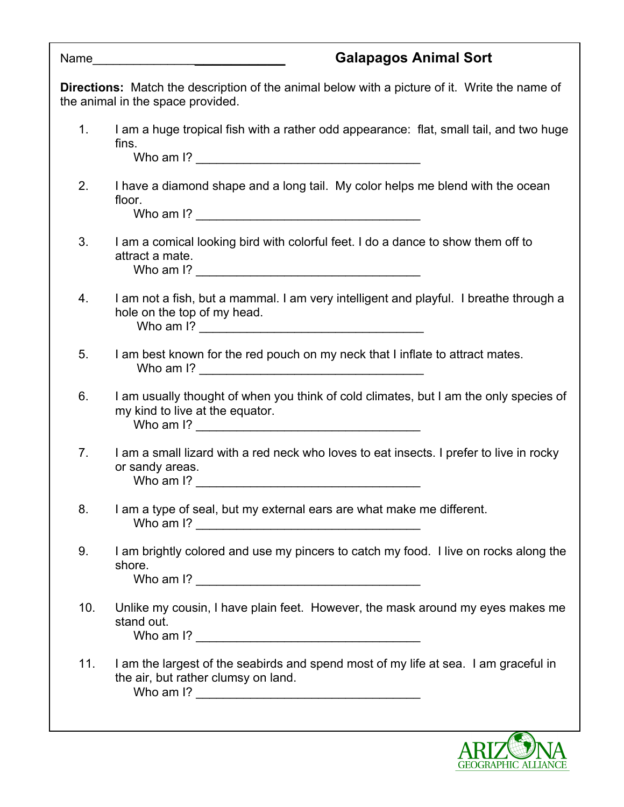|     | <b>Galapagos Animal Sort</b><br>Name                                                                                                      |
|-----|-------------------------------------------------------------------------------------------------------------------------------------------|
|     | <b>Directions:</b> Match the description of the animal below with a picture of it. Write the name of<br>the animal in the space provided. |
| 1.  | I am a huge tropical fish with a rather odd appearance: flat, small tail, and two huge<br>fins.                                           |
| 2.  | I have a diamond shape and a long tail. My color helps me blend with the ocean<br>floor.                                                  |
| 3.  | I am a comical looking bird with colorful feet. I do a dance to show them off to<br>attract a mate.                                       |
| 4.  | I am not a fish, but a mammal. I am very intelligent and playful. I breathe through a<br>hole on the top of my head.                      |
| 5.  | I am best known for the red pouch on my neck that I inflate to attract mates.                                                             |
| 6.  | I am usually thought of when you think of cold climates, but I am the only species of<br>my kind to live at the equator.                  |
| 7.  | I am a small lizard with a red neck who loves to eat insects. I prefer to live in rocky<br>or sandy areas.<br>Who am I?                   |
| 8.  | I am a type of seal, but my external ears are what make me different.                                                                     |
| 9.  | I am brightly colored and use my pincers to catch my food. I live on rocks along the<br>shore.                                            |
| 10. | Unlike my cousin, I have plain feet. However, the mask around my eyes makes me<br>stand out.                                              |
| 11. | I am the largest of the seabirds and spend most of my life at sea. I am graceful in<br>the air, but rather clumsy on land.                |
|     |                                                                                                                                           |

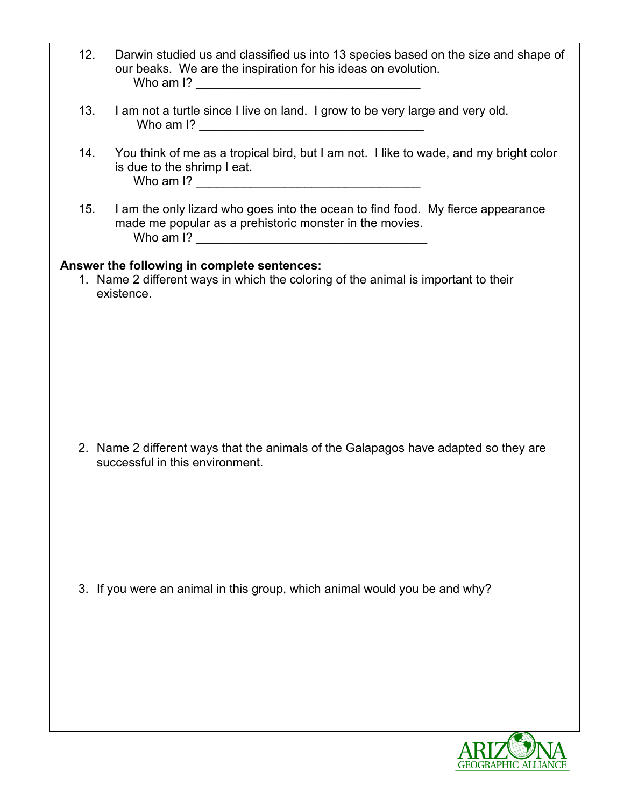| 12.                                                                                                                                             | Darwin studied us and classified us into 13 species based on the size and shape of<br>our beaks. We are the inspiration for his ideas on evolution. |  |
|-------------------------------------------------------------------------------------------------------------------------------------------------|-----------------------------------------------------------------------------------------------------------------------------------------------------|--|
| 13.                                                                                                                                             | I am not a turtle since I live on land. I grow to be very large and very old.                                                                       |  |
| 14.                                                                                                                                             | You think of me as a tropical bird, but I am not. I like to wade, and my bright color<br>is due to the shrimp I eat.                                |  |
| 15.                                                                                                                                             | I am the only lizard who goes into the ocean to find food. My fierce appearance<br>made me popular as a prehistoric monster in the movies.          |  |
| Answer the following in complete sentences:<br>1. Name 2 different ways in which the coloring of the animal is important to their<br>existence. |                                                                                                                                                     |  |
|                                                                                                                                                 |                                                                                                                                                     |  |
|                                                                                                                                                 |                                                                                                                                                     |  |
|                                                                                                                                                 | 2. Name 2 different ways that the animals of the Galapagos have adapted so they are<br>successful in this environment.                              |  |
|                                                                                                                                                 |                                                                                                                                                     |  |
|                                                                                                                                                 | 3. If you were an animal in this group, which animal would you be and why?                                                                          |  |
|                                                                                                                                                 |                                                                                                                                                     |  |
|                                                                                                                                                 |                                                                                                                                                     |  |

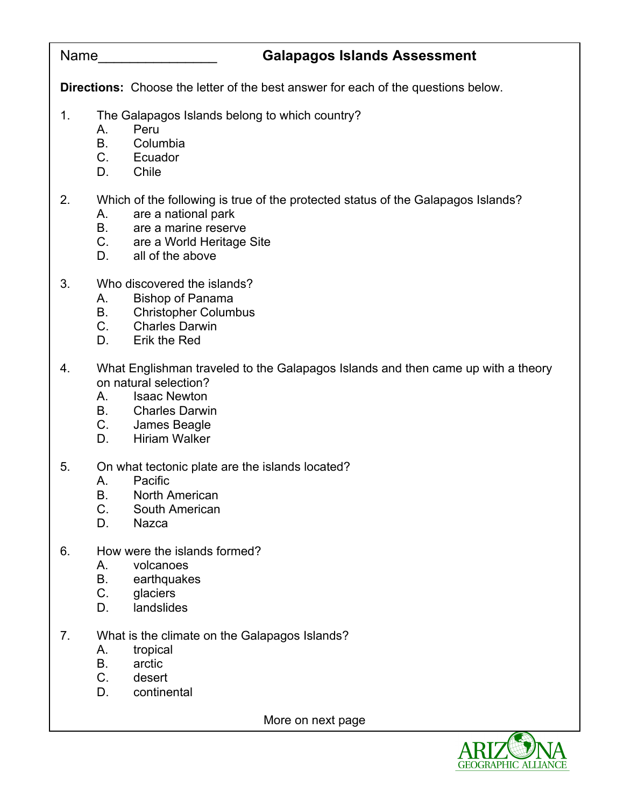# Name\_\_\_\_\_\_\_\_\_\_\_\_\_\_\_ **Galapagos Islands Assessment**

**Directions:** Choose the letter of the best answer for each of the questions below.

- 1. The Galapagos Islands belong to which country?
	- A. Peru
		- B. Columbia
	- C. Ecuador
	- D. Chile

## 2. Which of the following is true of the protected status of the Galapagos Islands?

- A. are a national park
- B. are a marine reserve<br>C. are a World Heritage
- are a World Heritage Site
- D. all of the above
- 3. Who discovered the islands?
	- A. Bishop of Panama
	- B. Christopher Columbus
	- C. Charles Darwin
	- D. Erik the Red
- 4. What Englishman traveled to the Galapagos Islands and then came up with a theory on natural selection?
	- A. Isaac Newton
	- B. Charles Darwin
	- C. James Beagle
	- D. Hiriam Walker
- 5. On what tectonic plate are the islands located?
	- A. Pacific
	- B. North American
	- C. South American
	- D. Nazca
- 6. How were the islands formed?
	- A. volcanoes
	- B. earthquakes
	- C. glaciers
	- D. landslides
- 7. What is the climate on the Galapagos Islands?
	- A. tropical
	- B. arctic
	- C. desert
	- D. continental

More on next page

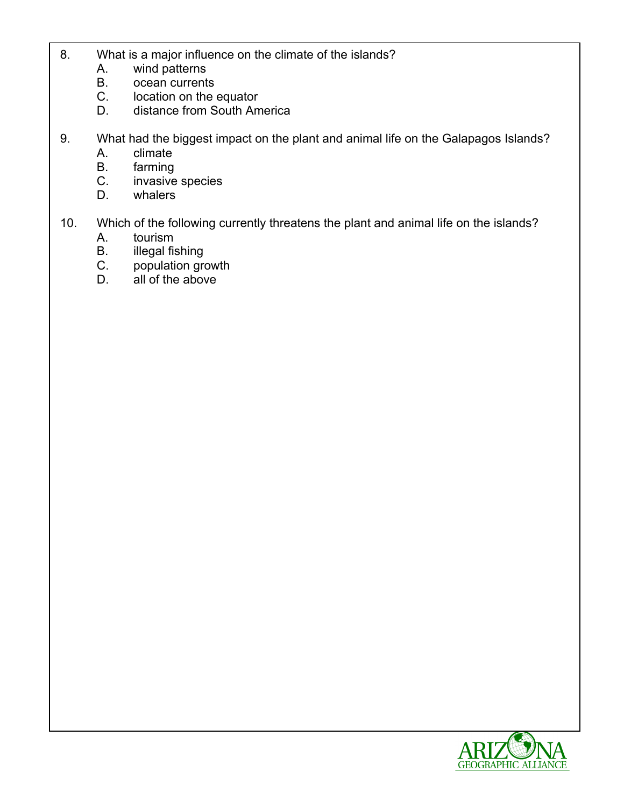- 8. What is a major influence on the climate of the islands?
	- A. wind patterns
	- B. ocean currents
	- C. location on the equator
	- D. distance from South America
- 9. What had the biggest impact on the plant and animal life on the Galapagos Islands?
	- A. climate
	- B. farming
	- C. invasive species
	- D. whalers
- 10. Which of the following currently threatens the plant and animal life on the islands?
	- A. tourism
	- B. illegal fishing
	- C. population growth
	- D. all of the above

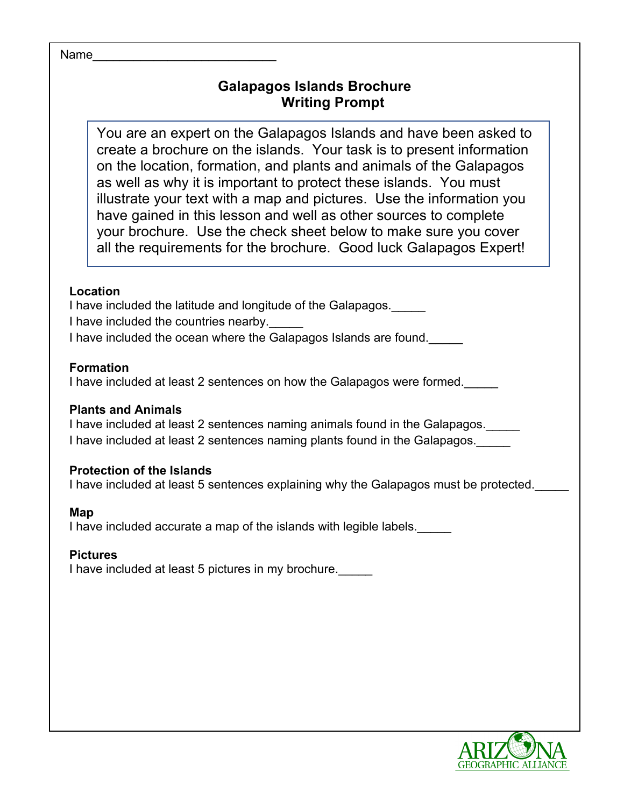#### Name

# **Galapagos Islands Brochure Writing Prompt**

You are an expert on the Galapagos Islands and have been asked to create a brochure on the islands. Your task is to present information on the location, formation, and plants and animals of the Galapagos as well as why it is important to protect these islands. You must illustrate your text with a map and pictures. Use the information you have gained in this lesson and well as other sources to complete your brochure. Use the check sheet below to make sure you cover all the requirements for the brochure. Good luck Galapagos Expert!

#### **Location**

I have included the latitude and longitude of the Galapagos. I have included the countries nearby. I have included the ocean where the Galapagos Islands are found.\_\_\_\_\_

#### **Formation**

I have included at least 2 sentences on how the Galapagos were formed.\_\_\_\_\_

#### **Plants and Animals**

I have included at least 2 sentences naming animals found in the Galapagos. I have included at least 2 sentences naming plants found in the Galapagos.

#### **Protection of the Islands**

I have included at least 5 sentences explaining why the Galapagos must be protected.

#### **Map**

I have included accurate a map of the islands with legible labels.

### **Pictures**

I have included at least 5 pictures in my brochure.